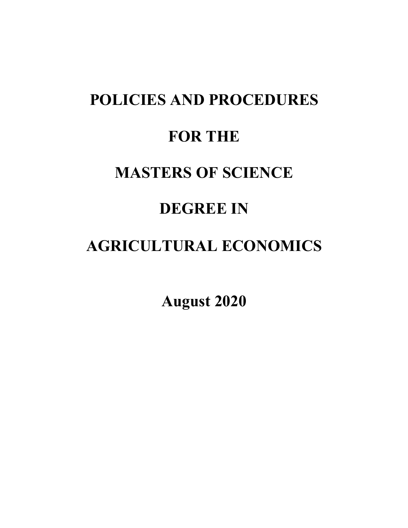# **POLICIES AND PROCEDURES FOR THE MASTERS OF SCIENCE DEGREE IN**

# **AGRICULTURAL ECONOMICS**

**August 2020**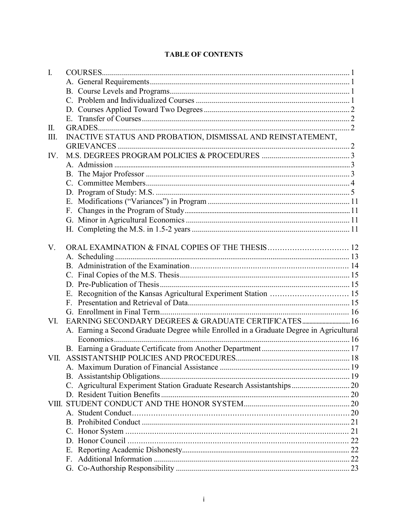| $\mathbf{I}$ . |                                                                                         |  |
|----------------|-----------------------------------------------------------------------------------------|--|
|                |                                                                                         |  |
|                |                                                                                         |  |
|                |                                                                                         |  |
|                |                                                                                         |  |
|                |                                                                                         |  |
| П.             |                                                                                         |  |
| III.           | INACTIVE STATUS AND PROBATION, DISMISSAL AND REINSTATEMENT,                             |  |
|                |                                                                                         |  |
| IV.            |                                                                                         |  |
|                |                                                                                         |  |
|                |                                                                                         |  |
|                |                                                                                         |  |
|                |                                                                                         |  |
|                | Е.                                                                                      |  |
|                |                                                                                         |  |
|                |                                                                                         |  |
|                |                                                                                         |  |
|                |                                                                                         |  |
| V.             |                                                                                         |  |
|                |                                                                                         |  |
|                |                                                                                         |  |
|                |                                                                                         |  |
|                |                                                                                         |  |
|                | E. Recognition of the Kansas Agricultural Experiment Station  15                        |  |
|                |                                                                                         |  |
|                |                                                                                         |  |
| VI.            |                                                                                         |  |
|                | A. Earning a Second Graduate Degree while Enrolled in a Graduate Degree in Agricultural |  |
|                |                                                                                         |  |
|                |                                                                                         |  |
|                |                                                                                         |  |
|                |                                                                                         |  |
|                |                                                                                         |  |
|                | C. Agricultural Experiment Station Graduate Research Assistantships 20                  |  |
|                |                                                                                         |  |
|                |                                                                                         |  |
|                |                                                                                         |  |
|                |                                                                                         |  |
|                |                                                                                         |  |
|                |                                                                                         |  |
|                | Е.                                                                                      |  |
|                | F.                                                                                      |  |
|                |                                                                                         |  |

# **TABLE OF CONTENTS**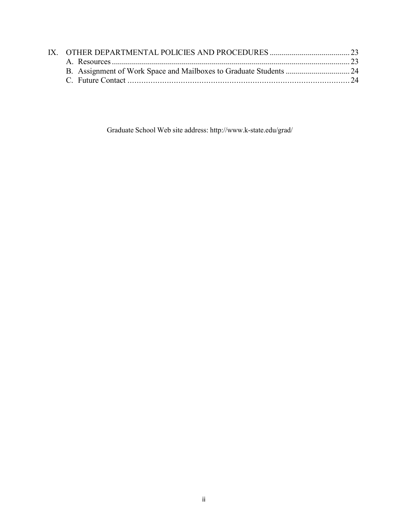Graduate School Web site address: <http://www.k-state.edu/grad/>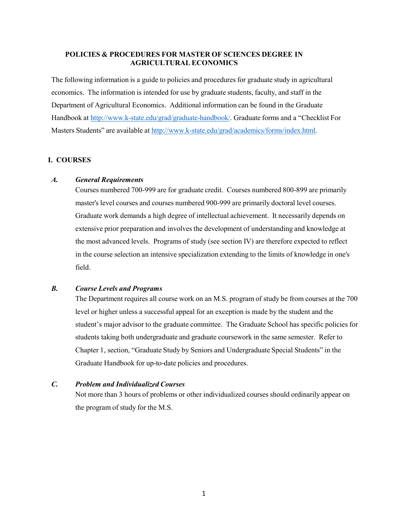# **POLICIES & PROCEDURES FOR MASTER OF SCIENCES DEGREE IN AGRICULTURAL ECONOMICS**

The following information is a guide to policies and procedures for graduate study in agricultural economics. The information is intended for use by graduate students, faculty, and staff in the Department of Agricultural Economics. Additional information can be found in the Graduate Handbook at [http://www.k-state.edu/grad/graduate-handbook/.](http://www.k-state.edu/grad/graduate-handbook/) Graduate forms and a "Checklist For Masters Students" are available at [http://www.k-state.edu/grad/academics/forms/index.html.](http://www.k-state.edu/grad/academics/forms/index.html)

#### **I. COURSES**

#### *A. General Requirements*

Courses numbered 700-999 are for graduate credit. Courses numbered 800-899 are primarily master's level courses and courses numbered 900-999 are primarily doctoral level courses. Graduate work demands a high degree of intellectual achievement. It necessarily depends on extensive prior preparation and involves the development of understanding and knowledge at the most advanced levels. Programs of study (see section IV) are therefore expected to reflect in the course selection an intensive specialization extending to the limits of knowledge in one's field.

#### *B. Course Levels and Programs*

The Department requires all course work on an M.S. program of study be from courses at the 700 level or higher unless a successful appeal for an exception is made by the student and the student's major advisor to the graduate committee. The Graduate School has specific policies for students taking both undergraduate and graduate coursework in the same semester. Refer to Chapter 1, section, "Graduate Study by Seniors and Undergraduate Special Students" in the Graduate Handbook for up-to-date policies and procedures.

#### *C. Problem and Individualized Courses*

Not more than 3 hours of problems or other individualized courses should ordinarily appear on the program of study for the M.S.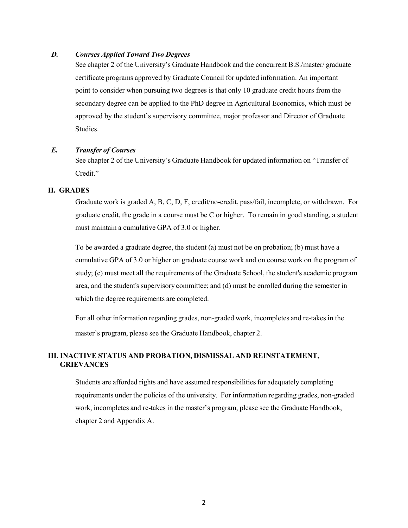#### *D. Courses Applied Toward Two Degrees*

See chapter 2 of the University's Graduate Handbook and the concurrent B.S./master/ graduate certificate programs approved by Graduate Council for updated information. An important point to consider when pursuing two degrees is that only 10 graduate credit hours from the secondary degree can be applied to the PhD degree in Agricultural Economics, which must be approved by the student's supervisory committee, major professor and Director of Graduate Studies.

#### *E. Transfer of Courses*

See chapter 2 of the University's Graduate Handbook for updated information on "Transfer of Credit."

#### **II. GRADES**

Graduate work is graded A, B, C, D, F, credit/no-credit, pass/fail, incomplete, or withdrawn. For graduate credit, the grade in a course must be C or higher. To remain in good standing, a student must maintain a cumulative GPA of 3.0 or higher.

To be awarded a graduate degree, the student (a) must not be on probation; (b) must have a cumulative GPA of 3.0 or higher on graduate course work and on course work on the program of study; (c) must meet all the requirements of the Graduate School, the student's academic program area, and the student's supervisory committee; and (d) must be enrolled during the semester in which the degree requirements are completed.

For all other information regarding grades, non-graded work, incompletes and re-takes in the master's program, please see the Graduate Handbook, chapter 2.

# **III. INACTIVE STATUS AND PROBATION, DISMISSAL AND REINSTATEMENT, GRIEVANCES**

Students are afforded rights and have assumed responsibilities for adequately completing requirements under the policies of the university. For information regarding grades, non-graded work, incompletes and re-takes in the master's program, please see the Graduate Handbook, chapter 2 and Appendix A.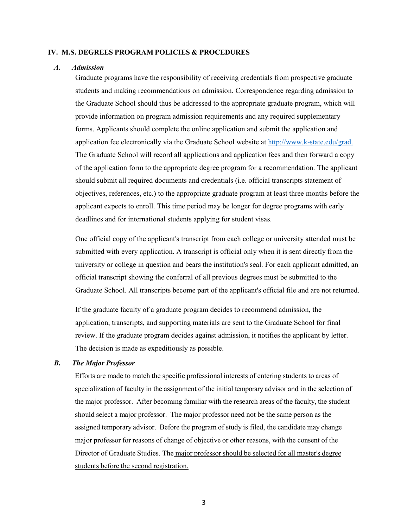#### **IV. M.S. DEGREES PROGRAM POLICIES & PROCEDURES**

#### *A. Admission*

Graduate programs have the responsibility of receiving credentials from prospective graduate students and making recommendations on admission. Correspondence regarding admission to the Graduate School should thus be addressed to the appropriate graduate program, which will provide information on program admission requirements and any required supplementary forms. Applicants should complete the online application and submit the application and application fee electronically via the Graduate School website at [http://www.k-state.edu/grad.](http://www.k-state.edu/grad) The Graduate School will record all applications and application fees and then forward a copy of the application form to the appropriate degree program for a recommendation. The applicant should submit all required documents and credentials (i.e. official transcripts statement of objectives, references, etc.) to the appropriate graduate program at least three months before the applicant expects to enroll. This time period may be longer for degree programs with early deadlines and for international students applying for student visas.

One official copy of the applicant's transcript from each college or university attended must be submitted with every application. A transcript is official only when it is sent directly from the university or college in question and bears the institution's seal. For each applicant admitted, an official transcript showing the conferral of all previous degrees must be submitted to the Graduate School. All transcripts become part of the applicant's official file and are not returned.

If the graduate faculty of a graduate program decides to recommend admission, the application, transcripts, and supporting materials are sent to the Graduate School for final review. If the graduate program decides against admission, it notifies the applicant by letter. The decision is made as expeditiously as possible.

#### *B. The Major Professor*

Efforts are made to match the specific professional interests of entering students to areas of specialization of faculty in the assignment of the initial temporary advisor and in the selection of the major professor. After becoming familiar with the research areas of the faculty, the student should select a major professor. The major professor need not be the same person as the assigned temporary advisor. Before the program of study is filed, the candidate may change major professor for reasons of change of objective or other reasons, with the consent of the Director of Graduate Studies. The major professor should be selected for all master's degree students before the second registration.

3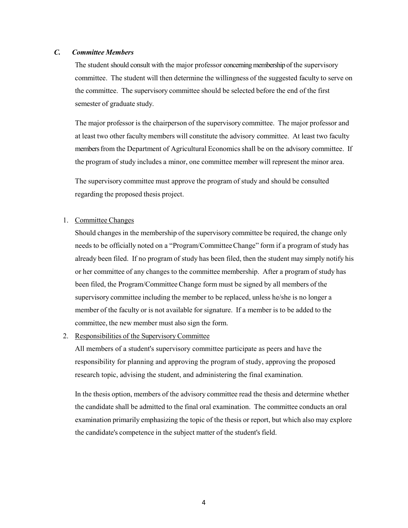# *C. Committee Members*

The student should consult with the major professor concerning membership of the supervisory committee. The student will then determine the willingness of the suggested faculty to serve on the committee. The supervisory committee should be selected before the end of the first semester of graduate study.

The major professor is the chairperson of the supervisory committee. The major professor and at least two other faculty members will constitute the advisory committee. At least two faculty members from the Department of Agricultural Economics shall be on the advisory committee. If the program of study includes a minor, one committee member will represent the minor area.

The supervisory committee must approve the program of study and should be consulted regarding the proposed thesis project.

#### 1. Committee Changes

Should changes in the membership of the supervisory committee be required, the change only needs to be officially noted on a "Program/CommitteeChange" form if a program of study has already been filed. If no program of study has been filed, then the student may simply notify his or her committee of any changes to the committee membership. After a program of study has been filed, the Program/CommitteeChange form must be signed by all members of the supervisory committee including the member to be replaced, unless he/she is no longer a member of the faculty or is not available for signature. If a member is to be added to the committee, the new member must also sign the form.

#### 2. Responsibilities of the Supervisory Committee

All members of a student's supervisory committee participate as peers and have the responsibility for planning and approving the program of study, approving the proposed research topic, advising the student, and administering the final examination.

In the thesis option, members of the advisory committee read the thesis and determine whether the candidate shall be admitted to the final oral examination. The committee conducts an oral examination primarily emphasizing the topic of the thesis or report, but which also may explore the candidate's competence in the subject matter of the student's field.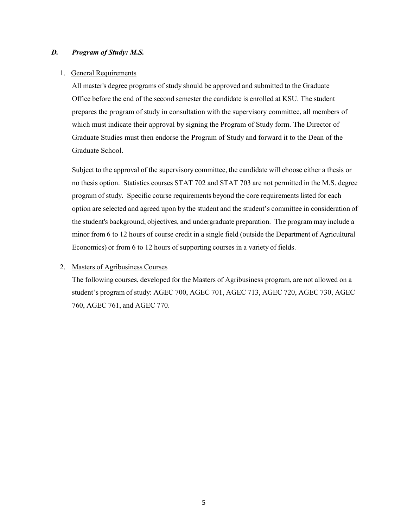#### *D. Program of Study: M.S.*

#### 1. General Requirements

All master's degree programs of study should be approved and submitted to the Graduate Office before the end of the second semester the candidate is enrolled at KSU. The student prepares the program of study in consultation with the supervisory committee, all members of which must indicate their approval by signing the Program of Study form. The Director of Graduate Studies must then endorse the Program of Study and forward it to the Dean of the Graduate School.

Subject to the approval of the supervisory committee, the candidate will choose either a thesis or no thesis option. Statistics courses STAT 702 and STAT 703 are not permitted in the M.S. degree program of study. Specific course requirements beyond the core requirementslisted for each option are selected and agreed upon by the student and the student's committee in consideration of the student's background, objectives, and undergraduate preparation. The program may include a minor from 6 to 12 hours of course credit in a single field (outside the Department of Agricultural Economics) or from 6 to 12 hours of supporting courses in a variety of fields.

#### 2. Masters of Agribusiness Courses

The following courses, developed for the Masters of Agribusiness program, are not allowed on a student's program of study: AGEC 700, AGEC 701, AGEC 713, AGEC 720, AGEC 730, AGEC 760, AGEC 761, and AGEC 770.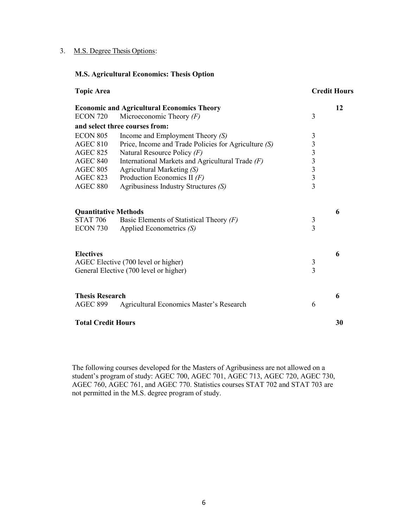# 3. M.S. Degree Thesis Options:

# **M.S. Agricultural Economics: Thesis Option**

| <b>Topic Area</b>                                                        |                                                                                                                                                                                   |                      | <b>Credit Hours</b> |
|--------------------------------------------------------------------------|-----------------------------------------------------------------------------------------------------------------------------------------------------------------------------------|----------------------|---------------------|
| <b>ECON 720</b>                                                          | <b>Economic and Agricultural Economics Theory</b><br>Microeconomic Theory $(F)$                                                                                                   | 3                    | 12                  |
|                                                                          | and select three courses from:                                                                                                                                                    |                      |                     |
| <b>ECON 805</b><br><b>AGEC 810</b><br><b>AGEC 825</b><br><b>AGEC 840</b> | Income and Employment Theory $(S)$<br>Price, Income and Trade Policies for Agriculture (S)<br>Natural Resource Policy $(F)$<br>International Markets and Agricultural Trade $(F)$ | 3<br>$3333$<br>$333$ |                     |
| <b>AGEC 805</b>                                                          | Agricultural Marketing (S)                                                                                                                                                        |                      |                     |
| <b>AGEC 823</b><br><b>AGEC 880</b>                                       | Production Economics II $(F)$<br>Agribusiness Industry Structures (S)                                                                                                             |                      |                     |
| <b>Quantitative Methods</b><br><b>STAT 706</b><br>ECON 730               | Basic Elements of Statistical Theory $(F)$<br>Applied Econometrics (S)                                                                                                            | 3<br>$\overline{3}$  | 6                   |
| <b>Electives</b>                                                         | AGEC Elective (700 level or higher)<br>General Elective (700 level or higher)                                                                                                     | $\frac{3}{3}$        | 6                   |
| <b>Thesis Research</b><br><b>AGEC 899</b>                                | Agricultural Economics Master's Research                                                                                                                                          | 6                    | 6                   |
| <b>Total Credit Hours</b>                                                |                                                                                                                                                                                   |                      | 30                  |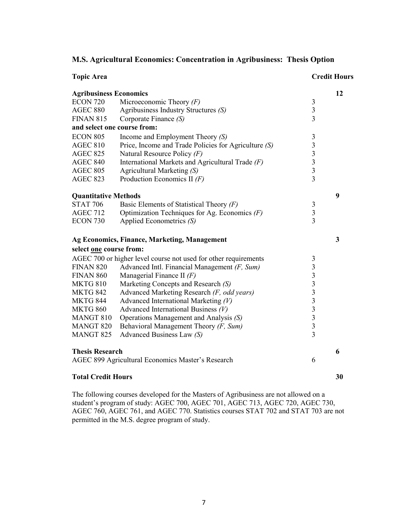|  | M.S. Agricultural Economics: Concentration in Agribusiness: Thesis Option |  |
|--|---------------------------------------------------------------------------|--|
|  |                                                                           |  |

| <b>Topic Area</b>             |                                                                 |                                                   | <b>Credit Hours</b> |
|-------------------------------|-----------------------------------------------------------------|---------------------------------------------------|---------------------|
| <b>Agribusiness Economics</b> |                                                                 |                                                   | 12                  |
| <b>ECON 720</b>               | Microeconomic Theory $(F)$                                      | $\mathfrak{Z}$                                    |                     |
| <b>AGEC 880</b>               | Agribusiness Industry Structures (S)                            | $\mathfrak{Z}$                                    |                     |
| <b>FINAN 815</b>              | Corporate Finance (S)                                           | $\overline{3}$                                    |                     |
| and select one course from:   |                                                                 |                                                   |                     |
| <b>ECON 805</b>               | Income and Employment Theory $(S)$                              | $\mathfrak{Z}$                                    |                     |
| <b>AGEC 810</b>               | Price, Income and Trade Policies for Agriculture (S)            |                                                   |                     |
| <b>AGEC 825</b>               | Natural Resource Policy (F)                                     | $\begin{array}{c}\n3 \\ 3 \\ 3 \\ 3\n\end{array}$ |                     |
| <b>AGEC 840</b>               | International Markets and Agricultural Trade $(F)$              |                                                   |                     |
| <b>AGEC 805</b>               | Agricultural Marketing (S)                                      |                                                   |                     |
| <b>AGEC 823</b>               | Production Economics II $(F)$                                   |                                                   |                     |
| <b>Quantitative Methods</b>   |                                                                 |                                                   | 9                   |
| <b>STAT 706</b>               | Basic Elements of Statistical Theory $(F)$                      |                                                   |                     |
| <b>AGEC 712</b>               | Optimization Techniques for Ag. Economics $(F)$                 | $\frac{3}{3}$                                     |                     |
| ECON 730                      | Applied Econometrics (S)                                        | $\overline{3}$                                    |                     |
|                               | Ag Economics, Finance, Marketing, Management                    |                                                   | 3                   |
| select one course from:       |                                                                 |                                                   |                     |
|                               | AGEC 700 or higher level course not used for other requirements | 3                                                 |                     |
| <b>FINAN 820</b>              | Advanced Intl. Financial Management $(F, Sum)$                  |                                                   |                     |
| <b>FINAN 860</b>              | Managerial Finance II $(F)$                                     | 3333333                                           |                     |
| <b>MKTG 810</b>               | Marketing Concepts and Research (S)                             |                                                   |                     |
| <b>MKTG 842</b>               | Advanced Marketing Research (F, odd years)                      |                                                   |                     |
| <b>MKTG 844</b>               | Advanced International Marketing $(V)$                          |                                                   |                     |
| <b>MKTG 860</b>               | Advanced International Business $(V)$                           |                                                   |                     |
| MANGT 810                     | Operations Management and Analysis (S)                          |                                                   |                     |
| <b>MANGT 820</b>              | Behavioral Management Theory (F, Sum)                           |                                                   |                     |
| <b>MANGT 825</b>              | Advanced Business Law (S)                                       | $\overline{3}$                                    |                     |
| <b>Thesis Research</b>        |                                                                 |                                                   | 6                   |
|                               | AGEC 899 Agricultural Economics Master's Research               | 6                                                 |                     |
| <b>Total Credit Hours</b>     |                                                                 |                                                   | 30                  |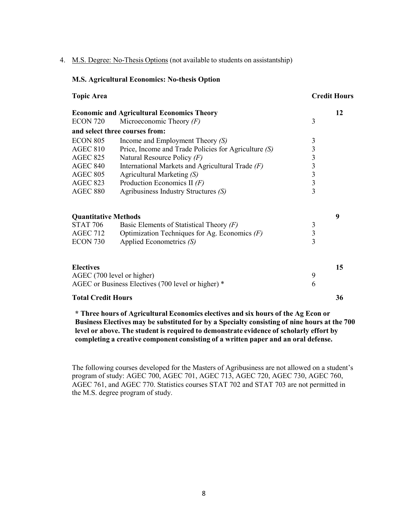#### 4. M.S. Degree: No-Thesis Options (not available to students on assistantship)

#### **M.S. Agricultural Economics: No-thesis Option**

| <b>Topic Area</b>           |                                                      |                         | <b>Credit Hours</b> |  |
|-----------------------------|------------------------------------------------------|-------------------------|---------------------|--|
|                             | <b>Economic and Agricultural Economics Theory</b>    |                         | 12                  |  |
| <b>ECON 720</b>             | Microeconomic Theory $(F)$                           | 3                       |                     |  |
|                             | and select three courses from:                       |                         |                     |  |
| <b>ECON 805</b>             | Income and Employment Theory $(S)$                   | $\mathfrak{Z}$          |                     |  |
| <b>AGEC 810</b>             | Price, Income and Trade Policies for Agriculture (S) | 3                       |                     |  |
| <b>AGEC 825</b>             | Natural Resource Policy $(F)$                        | $\overline{\mathbf{3}}$ |                     |  |
| <b>AGEC 840</b>             | International Markets and Agricultural Trade $(F)$   | $\frac{3}{3}$           |                     |  |
| <b>AGEC 805</b>             | Agricultural Marketing (S)                           |                         |                     |  |
| <b>AGEC 823</b>             | Production Economics II $(F)$                        | $\overline{3}$          |                     |  |
| <b>AGEC 880</b>             | Agribusiness Industry Structures $(S)$               | $\overline{3}$          |                     |  |
| <b>Quantitative Methods</b> |                                                      |                         | 9                   |  |
| <b>STAT 706</b>             | Basic Elements of Statistical Theory $(F)$           | 3                       |                     |  |
| <b>AGEC 712</b>             | Optimization Techniques for Ag. Economics $(F)$      | $\overline{3}$          |                     |  |
| ECON 730                    | Applied Econometrics (S)                             | 3                       |                     |  |
| <b>Electives</b>            |                                                      |                         | 15                  |  |
|                             | AGEC (700 level or higher)                           | 9                       |                     |  |
|                             | AGEC or Business Electives (700 level or higher) *   | 6                       |                     |  |
| <b>Total Credit Hours</b>   |                                                      |                         | 36                  |  |

**\* Three hours of Agricultural Economics electives and six hours of the Ag Econ or Business Electives may be substituted for by a Specialty consisting of nine hours at the 700 level or above. The student is required to demonstrate evidence of scholarly effort by completing a creative component consisting of a written paper and an oral defense.**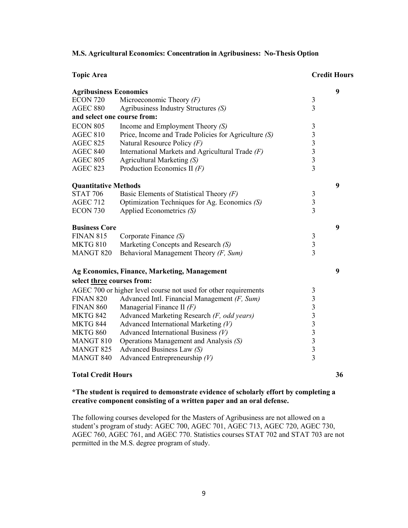**M.S. Agricultural Economics: Concentration in Agribusiness: No-Thesis Option**

| <b>Topic Area</b>             |                                                                 |                                                 | <b>Credit Hours</b> |
|-------------------------------|-----------------------------------------------------------------|-------------------------------------------------|---------------------|
| <b>Agribusiness Economics</b> |                                                                 |                                                 | 9                   |
| <b>ECON 720</b>               | Microeconomic Theory $(F)$                                      | $\mathfrak{Z}$                                  |                     |
| <b>AGEC 880</b>               | Agribusiness Industry Structures (S)                            | $\overline{3}$                                  |                     |
| and select one course from:   |                                                                 |                                                 |                     |
| <b>ECON 805</b>               | Income and Employment Theory $(S)$                              | $\mathfrak{Z}$                                  |                     |
| <b>AGEC 810</b>               | Price, Income and Trade Policies for Agriculture (S)            |                                                 |                     |
| <b>AGEC 825</b>               | Natural Resource Policy $(F)$                                   | $\begin{array}{c} 3 \\ 3 \\ 3 \\ 3 \end{array}$ |                     |
| <b>AGEC 840</b>               | International Markets and Agricultural Trade $(F)$              |                                                 |                     |
| <b>AGEC 805</b>               | Agricultural Marketing (S)                                      |                                                 |                     |
| <b>AGEC 823</b>               | Production Economics II $(F)$                                   | $\overline{3}$                                  |                     |
| <b>Quantitative Methods</b>   |                                                                 |                                                 | 9                   |
| <b>STAT 706</b>               | Basic Elements of Statistical Theory $(F)$                      |                                                 |                     |
| <b>AGEC 712</b>               | Optimization Techniques for Ag. Economics (S)                   | $\begin{array}{c} 3 \\ 3 \\ 3 \end{array}$      |                     |
| <b>ECON 730</b>               | Applied Econometrics (S)                                        |                                                 |                     |
| <b>Business Core</b>          |                                                                 |                                                 | 9                   |
| <b>FINAN 815</b>              | Corporate Finance (S)                                           | $\mathfrak{Z}$                                  |                     |
| <b>MKTG 810</b>               | Marketing Concepts and Research (S)                             | $\overline{\mathbf{3}}$                         |                     |
| <b>MANGT 820</b>              | Behavioral Management Theory (F, Sum)                           | $\overline{3}$                                  |                     |
|                               | Ag Economics, Finance, Marketing, Management                    |                                                 | 9                   |
| select three courses from:    |                                                                 |                                                 |                     |
|                               | AGEC 700 or higher level course not used for other requirements | $\mathfrak{Z}$                                  |                     |
| <b>FINAN 820</b>              | Advanced Intl. Financial Management $(F, Sum)$                  |                                                 |                     |
| <b>FINAN 860</b>              | Managerial Finance II $(F)$                                     | $\begin{array}{c} 3 \\ 3 \\ 3 \\ 3 \end{array}$ |                     |
| <b>MKTG 842</b>               | Advanced Marketing Research (F, odd years)                      |                                                 |                     |
| MKTG 844                      | Advanced International Marketing $(V)$                          |                                                 |                     |
| <b>MKTG 860</b>               | Advanced International Business $(V)$                           |                                                 |                     |
| MANGT 810                     | Operations Management and Analysis (S)                          | $\frac{3}{3}$                                   |                     |
| <b>MANGT 825</b>              | Advanced Business Law (S)                                       | $\overline{\mathbf{3}}$                         |                     |
| MANGT 840                     | Advanced Entrepreneurship $(V)$                                 | $\overline{3}$                                  |                     |

#### **Total Credit Hours 36**

# **\*The student is required to demonstrate evidence of scholarly effort by completing a creative component consisting of a written paper and an oral defense.**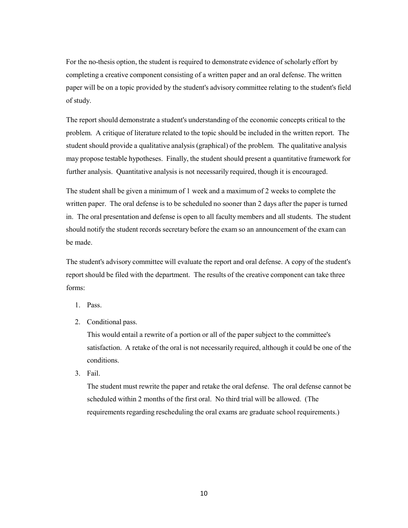For the no-thesis option, the student is required to demonstrate evidence of scholarly effort by completing a creative component consisting of a written paper and an oral defense. The written paper will be on a topic provided by the student's advisory committee relating to the student's field of study.

The report should demonstrate a student's understanding of the economic concepts critical to the problem. A critique of literature related to the topic should be included in the written report. The student should provide a qualitative analysis (graphical) of the problem. The qualitative analysis may propose testable hypotheses. Finally, the student should present a quantitative framework for further analysis. Quantitative analysis is not necessarily required, though it is encouraged.

The student shall be given a minimum of 1 week and a maximum of 2 weeks to complete the written paper. The oral defense is to be scheduled no sooner than 2 days after the paper is turned in. The oral presentation and defense is open to all faculty members and all students. The student should notify the student records secretary before the exam so an announcement of the exam can be made.

The student's advisory committee will evaluate the report and oral defense. A copy of the student's report should be filed with the department. The results of the creative component can take three forms:

- 1. Pass.
- 2. Conditional pass.

This would entail a rewrite of a portion or all of the paper subject to the committee's satisfaction. A retake of the oral is not necessarily required, although it could be one of the conditions.

3. Fail.

The student must rewrite the paper and retake the oral defense. The oral defense cannot be scheduled within 2 months of the first oral. No third trial will be allowed. (The requirements regarding rescheduling the oral exams are graduate school requirements.)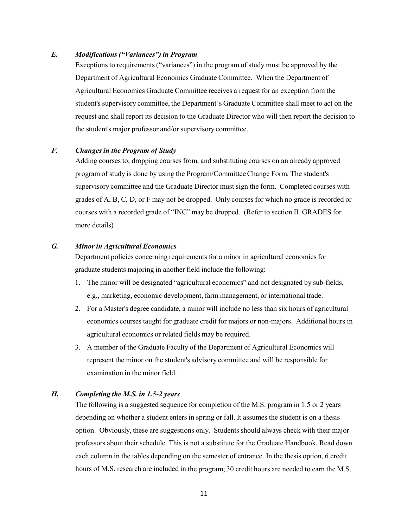#### *E. Modifications("Variances") in Program*

Exceptions to requirements("variances") in the program of study must be approved by the Department of Agricultural Economics Graduate Committee. When the Department of Agricultural Economics Graduate Committee receives a request for an exception from the student's supervisory committee, the Department's Graduate Committee shall meet to act on the request and shall report its decision to the Graduate Director who will then report the decision to the student's major professor and/or supervisory committee.

#### *F. Changes in the Program of Study*

Adding courses to, dropping courses from, and substituting courses on an already approved program of study is done by using the Program/CommitteeChange Form. The student's supervisory committee and the Graduate Director must sign the form. Completed courses with grades of A, B, C, D, or F may not be dropped. Only courses for which no grade is recorded or courses with a recorded grade of "INC" may be dropped. (Refer to section II. GRADES for more details)

# *G. Minor in Agricultural Economics*

Department policies concerning requirements for a minor in agricultural economics for graduate students majoring in another field include the following:

- 1. The minor will be designated "agricultural economics" and not designated by sub-fields, e.g., marketing, economic development, farm management, or international trade.
- 2. For a Master's degree candidate, a minor will include no less than six hours of agricultural economics courses taught for graduate credit for majors or non-majors. Additional hours in agricultural economics or related fields may be required.
- 3. A member of the Graduate Faculty of the Department of Agricultural Economics will represent the minor on the student's advisory committee and will be responsible for examination in the minor field.

# *H. Completing the M.S. in 1.5-2 years*

The following is a suggested sequence for completion of the M.S. program in 1.5 or 2 years depending on whether a student enters in spring or fall. It assumes the student is on a thesis option. Obviously, these are suggestions only. Students should always check with their major professors about their schedule. This is not a substitute for the Graduate Handbook. Read down each column in the tables depending on the semester of entrance. In the thesis option, 6 credit hours of M.S. research are included in the program; 30 credit hours are needed to earn the M.S.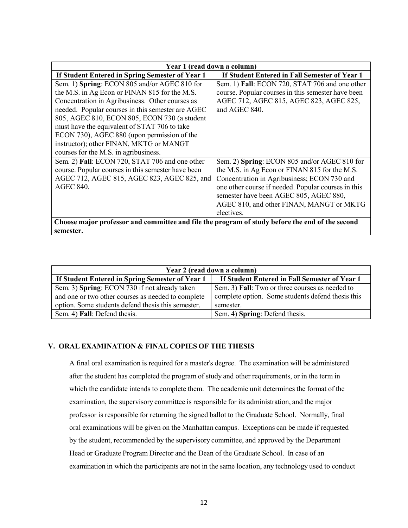| Year 1 (read down a column)                                                                     |                                                     |  |
|-------------------------------------------------------------------------------------------------|-----------------------------------------------------|--|
| If Student Entered in Spring Semester of Year 1                                                 | If Student Entered in Fall Semester of Year 1       |  |
| Sem. 1) Spring: ECON 805 and/or AGEC 810 for                                                    | Sem. 1) Fall: ECON 720, STAT 706 and one other      |  |
| the M.S. in Ag Econ or FINAN 815 for the M.S.                                                   | course. Popular courses in this semester have been  |  |
| Concentration in Agribusiness. Other courses as                                                 | AGEC 712, AGEC 815, AGEC 823, AGEC 825,             |  |
| needed. Popular courses in this semester are AGEC                                               | and AGEC 840.                                       |  |
| 805, AGEC 810, ECON 805, ECON 730 (a student                                                    |                                                     |  |
| must have the equivalent of STAT 706 to take                                                    |                                                     |  |
| ECON 730), AGEC 880 (upon permission of the                                                     |                                                     |  |
| instructor); other FINAN, MKTG or MANGT                                                         |                                                     |  |
| courses for the M.S. in agribusiness.                                                           |                                                     |  |
| Sem. 2) Fall: ECON 720, STAT 706 and one other                                                  | Sem. 2) Spring: ECON 805 and/or AGEC 810 for        |  |
| course. Popular courses in this semester have been                                              | the M.S. in Ag Econ or FINAN 815 for the M.S.       |  |
| AGEC 712, AGEC 815, AGEC 823, AGEC 825, and                                                     | Concentration in Agribusiness; ECON 730 and         |  |
| <b>AGEC 840.</b>                                                                                | one other course if needed. Popular courses in this |  |
|                                                                                                 | semester have been AGEC 805, AGEC 880,              |  |
|                                                                                                 | AGEC 810, and other FINAN, MANGT or MKTG            |  |
|                                                                                                 | electives.                                          |  |
| Choose major professor and committee and file the program of study before the end of the second |                                                     |  |
| semester.                                                                                       |                                                     |  |

| Year 2 (read down a column)                                                                         |                                                                                                      |  |  |
|-----------------------------------------------------------------------------------------------------|------------------------------------------------------------------------------------------------------|--|--|
| If Student Entered in Spring Semester of Year 1                                                     | If Student Entered in Fall Semester of Year 1                                                        |  |  |
| Sem. 3) Spring: ECON 730 if not already taken<br>and one or two other courses as needed to complete | Sem. 3) Fall: Two or three courses as needed to<br>complete option. Some students defend thesis this |  |  |
| option. Some students defend thesis this semester.                                                  | semester.                                                                                            |  |  |
| Sem. 4) Fall: Defend thesis.                                                                        | Sem. 4) Spring: Defend thesis.                                                                       |  |  |

# **V. ORAL EXAMINATION & FINAL COPIES OF THE THESIS**

A final oral examination is required for a master's degree. The examination will be administered after the student has completed the program of study and other requirements, or in the term in which the candidate intends to complete them. The academic unit determines the format of the examination, the supervisory committee is responsible for its administration, and the major professor is responsible for returning the signed ballot to the Graduate School. Normally, final oral examinations will be given on the Manhattan campus. Exceptions can be made if requested by the student, recommended by the supervisory committee, and approved by the Department Head or Graduate Program Director and the Dean of the Graduate School. In case of an examination in which the participants are not in the same location, any technology used to conduct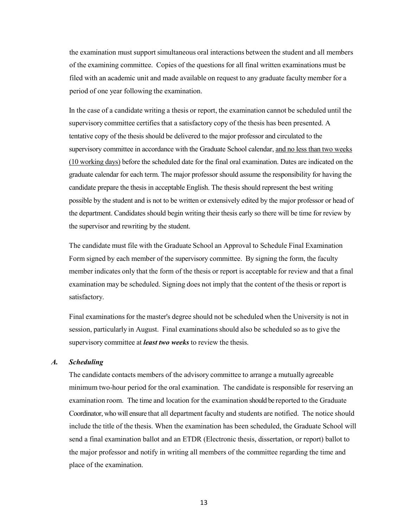the examination must support simultaneous oral interactions between the student and all members of the examining committee. Copies of the questions for all final written examinations must be filed with an academic unit and made available on request to any graduate faculty member for a period of one year following the examination.

In the case of a candidate writing a thesis or report, the examination cannot be scheduled until the supervisory committee certifies that a satisfactory copy of the thesis has been presented. A tentative copy of the thesis should be delivered to the major professor and circulated to the supervisory committee in accordance with the Graduate School calendar, and no less than two weeks (10 working days) before the scheduled date for the final oral examination. Dates are indicated on the graduate calendar for each term. The major professor should assume the responsibility for having the candidate prepare the thesis in acceptable English. The thesis should represent the best writing possible by the student and is not to be written or extensively edited by the major professor or head of the department. Candidates should begin writing their thesis early so there will be time for review by the supervisor and rewriting by the student.

The candidate must file with the Graduate School an Approval to Schedule Final Examination Form signed by each member of the supervisory committee. By signing the form, the faculty member indicates only that the form of the thesis or report is acceptable for review and that a final examination may be scheduled. Signing does not imply that the content of the thesis or report is satisfactory.

Final examinations for the master's degree should not be scheduled when the University is not in session, particularly in August. Final examinations should also be scheduled so as to give the supervisory committee at *least two weeks* to review the thesis.

#### *A. Scheduling*

The candidate contacts members of the advisory committee to arrange a mutually agreeable minimum two-hour period for the oral examination. The candidate is responsible for reserving an examination room. The time and location for the examination should be reported to the Graduate Coordinator, who will ensure that all department faculty and students are notified. The notice should include the title of the thesis. When the examination has been scheduled, the Graduate School will send a final examination ballot and an ETDR (Electronic thesis, dissertation, or report) ballot to the major professor and notify in writing all members of the committee regarding the time and place of the examination.

13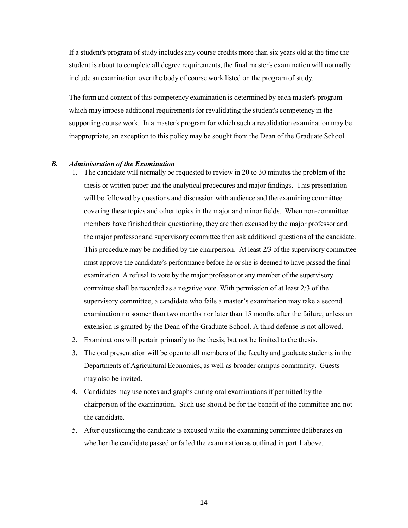If a student's program of study includes any course credits more than six years old at the time the student is about to complete all degree requirements, the final master's examination will normally include an examination over the body of course work listed on the program of study.

The form and content of this competency examination is determined by each master's program which may impose additional requirements for revalidating the student's competency in the supporting course work. In a master's program for which such a revalidation examination may be inappropriate, an exception to this policy may be sought from the Dean of the Graduate School.

#### *B. Administration of the Examination*

- 1. The candidate will normally be requested to review in 20 to 30 minutes the problem of the thesis or written paper and the analytical procedures and major findings. This presentation will be followed by questions and discussion with audience and the examining committee covering these topics and other topics in the major and minor fields. When non-committee members have finished their questioning, they are then excused by the major professor and the major professor and supervisory committee then ask additional questions of the candidate. This procedure may be modified by the chairperson. At least 2/3 of the supervisory committee must approve the candidate's performance before he or she is deemed to have passed the final examination. A refusal to vote by the major professor or any member of the supervisory committee shall be recorded as a negative vote. With permission of at least 2/3 of the supervisory committee, a candidate who fails a master's examination may take a second examination no sooner than two months nor later than 15 months after the failure, unless an extension is granted by the Dean of the Graduate School. A third defense is not allowed.
- 2. Examinations will pertain primarily to the thesis, but not be limited to the thesis.
- 3. The oral presentation will be open to all members of the faculty and graduate students in the Departments of Agricultural Economics, as well as broader campus community. Guests may also be invited.
- 4. Candidates may use notes and graphs during oral examinationsif permitted by the chairperson of the examination. Such use should be for the benefit of the committee and not the candidate.
- 5. After questioning the candidate is excused while the examining committee deliberates on whether the candidate passed or failed the examination as outlined in part 1 above.

14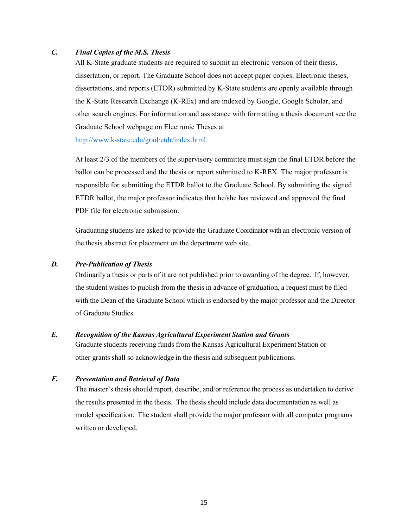# *C. Final Copies of the M.S. Thesis*

All K-State graduate students are required to submit an electronic version of their thesis, dissertation, or report. The Graduate School does not accept paper copies. Electronic theses, dissertations, and reports (ETDR) submitted by K-State students are openly available through the K-State Research Exchange (K-REx) and are indexed by Google, Google Scholar, and other search engines. For information and assistance with formatting a thesis document see the Graduate School webpage on Electronic Theses at [http://www.k-state.edu/grad/etdr/index.html.](http://www.k-state.edu/grad/etdr/index.html)

At least 2/3 of the members of the supervisory committee must sign the final ETDR before the ballot can be processed and the thesis or report submitted to K-REX. The major professor is responsible for submitting the ETDR ballot to the Graduate School. By submitting the signed ETDR ballot, the major professor indicates that he/she has reviewed and approved the final PDF file for electronic submission.

Graduating students are asked to provide the Graduate Coordinator with an electronic version of the thesis abstract for placement on the department web site.

#### *D. Pre-Publication of Thesis*

Ordinarily a thesis or parts of it are not published prior to awarding of the degree. If, however, the student wishes to publish from the thesis in advance of graduation, a request must be filed with the Dean of the Graduate School which is endorsed by the major professor and the Director of Graduate Studies.

#### *E. Recognition of the Kansas Agricultural Experiment Station and Grants*

Graduate students receiving funds from the Kansas Agricultural Experiment Station or other grants shall so acknowledge in the thesis and subsequent publications.

# *F. Presentation and Retrieval of Data*

The master's thesis should report, describe, and/or reference the process as undertaken to derive the results presented in the thesis. The thesis should include data documentation as well as model specification. The student shall provide the major professor with all computer programs written or developed.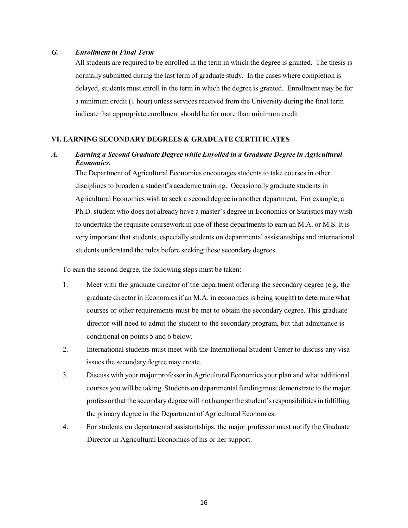## *G. Enrollment in Final Term*

All students are required to be enrolled in the term in which the degree is granted. The thesis is normally submitted during the last term of graduate study. In the cases where completion is delayed, students must enroll in the term in which the degree is granted. Enrollment may be for a minimum credit (1 hour) unless services received from the University during the final term indicate that appropriate enrollment should be for more than minimum credit.

#### **VI. EARNING SECONDARY DEGREES & GRADUATE CERTIFICATES**

# *A. Earning a Second Graduate Degree while Enrolled in a Graduate Degree in Agricultural Economics.*

The Department of Agricultural Economics encourages students to take courses in other disciplines to broaden a student's academic training. Occasionally graduate students in Agricultural Economics wish to seek a second degree in another department. For example, a Ph.D. student who does not already have a master's degree in Economics or Statistics may wish to undertake the requisite coursework in one of these departments to earn an M.A. or M.S. It is very important that students, especially students on departmental assistantships and international students understand the rules before seeking these secondary degrees.

To earn the second degree, the following steps must be taken:

- 1. Meet with the graduate director of the department offering the secondary degree (e.g. the graduate director in Economicsif an M.A. in economicsis being sought) to determine what courses or other requirements must be met to obtain the secondary degree. This graduate director will need to admit the student to the secondary program, but that admittance is conditional on points 5 and 6 below.
- 2. International students must meet with the International Student Center to discuss any visa issues the secondary degree may create.
- 3. Discuss with your major professor in Agricultural Economics your plan and what additional courses you will be taking. Students on departmental funding must demonstrate to the major professorthat the secondary degree will not hamper the student'sresponsibilitiesin fulfilling the primary degree in the Department of Agricultural Economics.
- 4. For students on departmental assistantships, the major professor must notify the Graduate Director in Agricultural Economics of his or her support.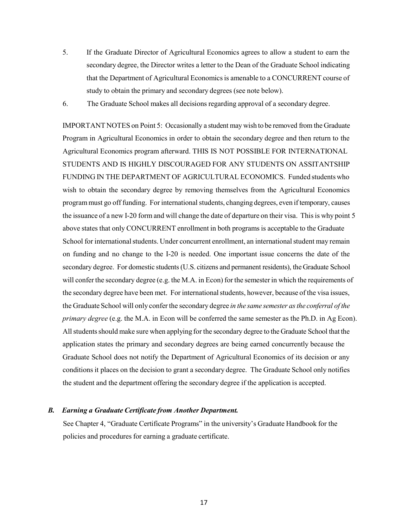- 5. If the Graduate Director of Agricultural Economics agrees to allow a student to earn the secondary degree, the Director writes a letter to the Dean of the Graduate School indicating that the Department of Agricultural Economicsis amenable to a CONCURRENT course of study to obtain the primary and secondary degrees (see note below).
- 6. The Graduate School makes all decisions regarding approval of a secondary degree.

IMPORTANT NOTES on Point 5: Occasionally a student may wish to be removed from the Graduate Program in Agricultural Economics in order to obtain the secondary degree and then return to the Agricultural Economics program afterward. THIS IS NOT POSSIBLE FOR INTERNATIONAL STUDENTS AND IS HIGHLY DISCOURAGED FOR ANY STUDENTS ON ASSITANTSHIP FUNDING IN THE DEPARTMENT OF AGRICULTURAL ECONOMICS. Funded students who wish to obtain the secondary degree by removing themselves from the Agricultural Economics program must go off funding. For international students, changing degrees, even if temporary, causes the issuance of a new I-20 form and will change the date of departure on their visa. This is why point 5 above states that only CONCURRENT enrollment in both programs is acceptable to the Graduate School for international students. Under concurrent enrollment, an international student may remain on funding and no change to the I-20 is needed. One important issue concerns the date of the secondary degree. For domestic students (U.S. citizens and permanent residents), the Graduate School will confer the secondary degree (e.g. the M.A. in Econ) for the semester in which the requirements of the secondary degree have been met. For internationalstudents, however, because of the visa issues, the Graduate School will only confer the secondary degree *in the same semester asthe conferral of the primary degree* (e.g. the M.A. in Econ will be conferred the same semester as the Ph.D. in Ag Econ). Allstudentsshould make sure when applying for the secondary degree to the Graduate School that the application states the primary and secondary degrees are being earned concurrently because the Graduate School does not notify the Department of Agricultural Economics of its decision or any conditions it places on the decision to grant a secondary degree. The Graduate School only notifies the student and the department offering the secondary degree if the application is accepted.

#### *B. Earning a Graduate Certificate from Another Department.*

See Chapter 4, "Graduate Certificate Programs" in the university's Graduate Handbook for the policies and procedures for earning a graduate certificate.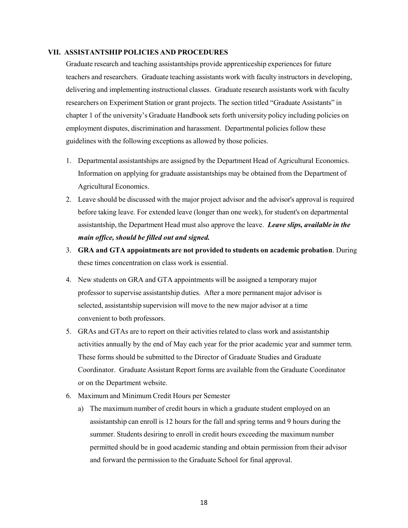#### **VII. ASSISTANTSHIP POLICIES AND PROCEDURES**

Graduate research and teaching assistantships provide apprenticeship experiencesfor future teachers and researchers. Graduate teaching assistants work with faculty instructors in developing, delivering and implementing instructional classes. Graduate research assistants work with faculty researchers on Experiment Station or grant projects. The section titled "Graduate Assistants" in chapter 1 of the university's Graduate Handbook sets forth university policy including policies on employment disputes, discrimination and harassment. Departmental policies follow these guidelines with the following exceptions as allowed by those policies.

- 1. Departmental assistantships are assigned by the Department Head of Agricultural Economics. Information on applying for graduate assistantships may be obtained from the Department of Agricultural Economics.
- 2. Leave should be discussed with the major project advisor and the advisor's approval is required before taking leave. For extended leave (longer than one week), for student's on departmental assistantship, the Department Head must also approve the leave. *Leave slips, available in the main office, should be filled out and signed.*
- 3. **GRA and GTA appointments are not provided to students on academic probation**. During these times concentration on class work is essential.
- 4. New students on GRA and GTA appointments will be assigned a temporary major professor to supervise assistantship duties. After a more permanent major advisor is selected, assistantship supervision will move to the new major advisor at a time convenient to both professors.
- 5. GRAs and GTAs are to report on their activities related to class work and assistantship activities annually by the end of May each year for the prior academic year and summer term. These forms should be submitted to the Director of Graduate Studies and Graduate Coordinator. Graduate Assistant Report forms are available from the Graduate Coordinator or on the Department website.
- 6. Maximum and Minimum Credit Hours per Semester
	- a) The maximum number of credit hours in which a graduate student employed on an assistantship can enroll is 12 hours for the fall and spring terms and 9 hours during the summer. Students desiring to enroll in credit hours exceeding the maximum number permitted should be in good academic standing and obtain permission from their advisor and forward the permission to the Graduate School for final approval.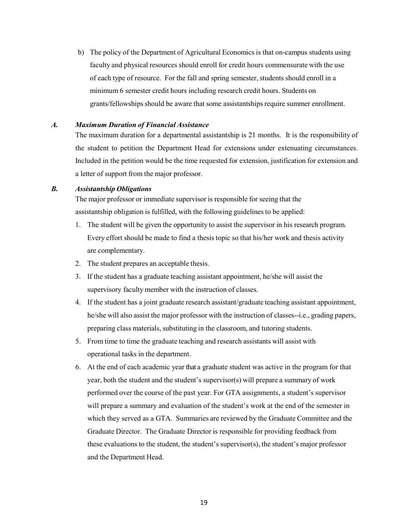b) The policy of the Department of Agricultural Economics is that on-campus students using faculty and physical resources should enroll for credit hours commensurate with the use of each type of resource. For the fall and spring semester, students should enroll in a minimum 6 semester credit hours including research credit hours. Students on grants/fellowships should be aware that some assistantships require summer enrollment.

#### *A. Maximum Duration of Financial Assistance*

The maximum duration for a departmental assistantship is 21 months. It is the responsibility of the student to petition the Department Head for extensions under extenuating circumstances. Included in the petition would be the time requested for extension, justification for extension and a letter of support from the major professor.

#### *B. Assistantship Obligations*

The major professor or immediate supervisor is responsible for seeing that the assistantship obligation is fulfilled, with the following guidelines to be applied:

- 1. The student will be given the opportunity to assist the supervisor in his research program. Every effort should be made to find a thesis topic so that his/her work and thesis activity are complementary.
- 2. The student prepares an acceptable thesis.
- 3. If the student has a graduate teaching assistant appointment, he/she will assist the supervisory faculty member with the instruction of classes.
- 4. If the student has a joint graduate research assistant/graduate teaching assistant appointment, he/she will also assist the major professor with the instruction of classes--i.e., grading papers, preparing class materials, substituting in the classroom, and tutoring students.
- 5. From time to time the graduate teaching and research assistants will assist with operational tasks in the department.
- 6. At the end of each academic year that a graduate student was active in the program for that year, both the student and the student's supervisor(s) will prepare a summary of work performed over the course of the past year. For GTA assignments, a student's supervisor will prepare a summary and evaluation of the student's work at the end of the semester in which they served as a GTA. Summaries are reviewed by the Graduate Committee and the Graduate Director. The Graduate Director is responsible for providing feedback from these evaluations to the student, the student's supervisor(s), the student's major professor and the Department Head.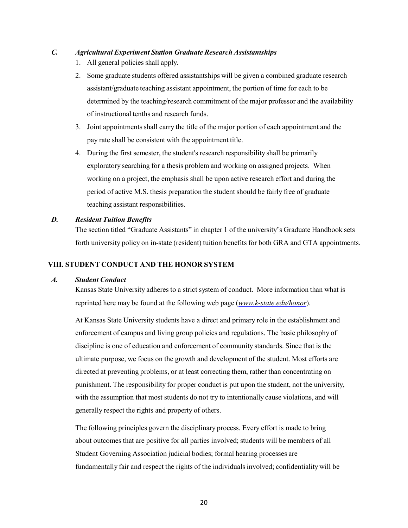# *C. Agricultural Experiment Station Graduate Research Assistantships*

- 1. All general policies shall apply.
- 2. Some graduate students offered assistantships will be given a combined graduate research assistant/graduate teaching assistant appointment, the portion of time for each to be determined by the teaching/research commitment of the major professor and the availability of instructional tenths and research funds.
- 3. Joint appointmentsshall carry the title of the major portion of each appointment and the pay rate shall be consistent with the appointment title.
- 4. During the first semester, the student's research responsibility shall be primarily exploratory searching for a thesis problem and working on assigned projects. When working on a project, the emphasis shall be upon active research effort and during the period of active M.S. thesis preparation the student should be fairly free of graduate teaching assistant responsibilities.

# *D. Resident Tuition Benefits*

The section titled "Graduate Assistants" in chapter 1 of the university's Graduate Handbook sets forth university policy on in-state (resident) tuition benefits for both GRA and GTA appointments.

# **VIII. STUDENT CONDUCT AND THE HONOR SYSTEM**

# *A. Student Conduct*

Kansas State University adheres to a strict system of conduct. More information than what is reprinted here may be found at the following web page (*[www.k-state.edu/honor](http://www.k-state.edu/honor)*).

At Kansas State University students have a direct and primary role in the establishment and enforcement of campus and living group policies and regulations. The basic philosophy of discipline is one of education and enforcement of community standards. Since that is the ultimate purpose, we focus on the growth and development of the student. Most efforts are directed at preventing problems, or at least correcting them, rather than concentrating on punishment. The responsibility for proper conduct is put upon the student, not the university, with the assumption that most students do not try to intentionally cause violations, and will generally respect the rights and property of others.

The following principles govern the disciplinary process. Every effort is made to bring about outcomes that are positive for all parties involved; students will be members of all Student Governing Association judicial bodies; formal hearing processes are fundamentally fair and respect the rights of the individuals involved; confidentiality will be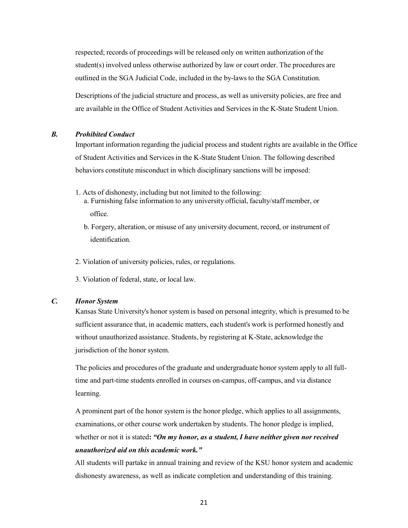respected; records of proceedings will be released only on written authorization of the student(s) involved unless otherwise authorized by law or court order. The procedures are outlined in the SGA Judicial Code, included in the by-laws to the SGA Constitution.

Descriptions of the judicial structure and process, as well as university policies, are free and are available in the Office of Student Activities and Services in the K-State Student Union.

#### *B. Prohibited Conduct*

Important information regarding the judicial process and student rights are available in the Office of Student Activities and Services in the K-State Student Union. The following described behaviors constitute misconduct in which disciplinary sanctions will be imposed:

- 1. Acts of dishonesty, including but not limited to the following:
	- a. Furnishing false information to any university official, faculty/staff member, or office.
	- b. Forgery, alteration, or misuse of any university document, record, or instrument of identification.
- 2. Violation of university policies, rules, or regulations.
- 3. Violation of federal, state, or local law.

#### *C. Honor System*

Kansas State University's honor system is based on personal integrity, which is presumed to be sufficient assurance that, in academic matters, each student's work is performed honestly and without unauthorized assistance. Students, by registering at K-State, acknowledge the jurisdiction of the honor system.

The policies and procedures of the graduate and undergraduate honor system apply to all fulltime and part-time students enrolled in courses on-campus, off-campus, and via distance learning.

A prominent part of the honor system is the honor pledge, which applies to all assignments, examinations, or other course work undertaken by students. The honor pledge is implied, whether or not it is stated**:** *"On my honor, as a student, I have neither given nor received unauthorized aid on this academic work."*

All students will partake in annual training and review of the KSU honor system and academic dishonesty awareness, as well as indicate completion and understanding of this training.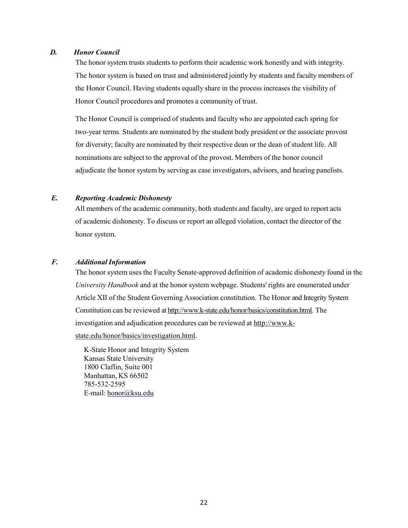#### *D. Honor Council*

The honor system trusts students to perform their academic work honestly and with integrity. The honor system is based on trust and administered jointly by students and faculty members of the Honor Council. Having students equally share in the process increases the visibility of Honor Council procedures and promotes a community of trust.

The Honor Council is comprised of students and faculty who are appointed each spring for two-year terms. Students are nominated by the student body president or the associate provost for diversity; faculty are nominated by their respective dean or the dean of student life. All nominations are subject to the approval of the provost. Members of the honor council adjudicate the honor system by serving as case investigators, advisors, and hearing panelists.

#### *E. Reporting Academic Dishonesty*

All members of the academic community, both students and faculty, are urged to report acts of academic dishonesty. To discuss or report an alleged violation, contact the director of the honor system.

# *F. Additional Information*

The honor system uses the Faculty Senate-approved definition of academic dishonesty found in the *University Handbook* and at the honor system webpage. Students' rights are enumerated under Article XII of the Student Governing Association constitution. The Honor and Integrity System Constitution can be reviewed a[t http://www.k-state.edu/honor/basics/constitution.html.](http://www.k-state.edu/honor/basics/constitution.html) The investigation and adjudication procedures can be reviewed at [http://www.k](http://www.k-state.edu/honor/basics/investigation.html)[state.edu/honor/basics/investigation.html](http://www.k-state.edu/honor/basics/investigation.html).

K-State Honor and Integrity System Kansas State University 1800 Claflin, Suite 001 Manhattan, KS 66502 785-532-2595 E-mail: [honor@ksu.edu](mailto:honor@ksu.edu)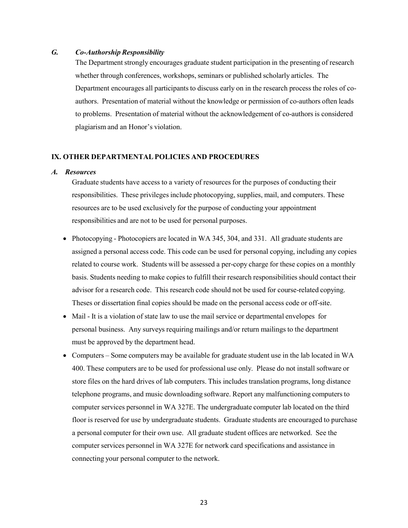#### *G. Co-Authorship Responsibility*

The Department strongly encourages graduate student participation in the presenting of research whether through conferences, workshops, seminars or published scholarly articles. The Department encourages all participants to discuss early on in the research process the roles of coauthors. Presentation of material without the knowledge or permission of co-authors often leads to problems. Presentation of material without the acknowledgement of co-authors is considered plagiarism and an Honor's violation.

#### **IX. OTHER DEPARTMENTALPOLICIES AND PROCEDURES**

#### *A. Resources*

Graduate students have access to a variety of resources for the purposes of conducting their responsibilities. These privileges include photocopying, supplies, mail, and computers. These resources are to be used exclusively for the purpose of conducting your appointment responsibilities and are not to be used for personal purposes.

- Photocopying Photocopiers are located in WA 345, 304, and 331. All graduate students are assigned a personal access code. This code can be used for personal copying, including any copies related to course work. Students will be assessed a per-copy charge for these copies on a monthly basis. Students needing to make copies to fulfill their research responsibilities should contact their advisor for a research code. This research code should not be used for course-related copying. Theses or dissertation final copies should be made on the personal access code or off-site.
- Mail It is a violation of state law to use the mail service or departmental envelopes for personal business. Any surveys requiring mailings and/or return mailings to the department must be approved by the department head.
- Computers Some computers may be available for graduate student use in the lab located in WA 400. These computers are to be used for professional use only. Please do not install software or store files on the hard drives of lab computers. This includes translation programs, long distance telephone programs, and music downloading software. Report any malfunctioning computers to computer services personnel in WA 327E. The undergraduate computer lab located on the third floor is reserved for use by undergraduate students. Graduate students are encouraged to purchase a personal computer for their own use. All graduate student offices are networked. See the computer services personnel in WA 327E for network card specifications and assistance in connecting your personal computer to the network.